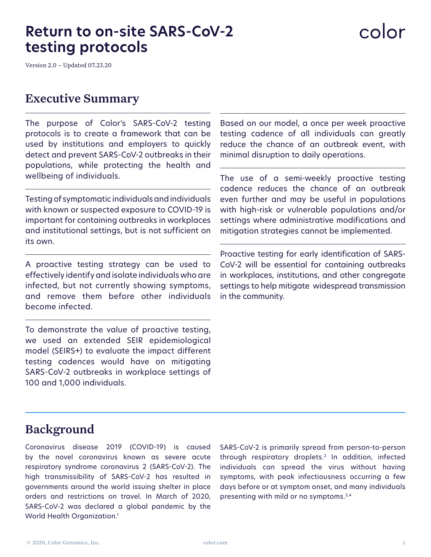# **Return to on-site SARS-CoV-2 testing protocols**

Version 2.0 – Updated 07.23.20

### Executive Summary

The purpose of Color's SARS-CoV-2 testing protocols is to create a framework that can be used by institutions and employers to quickly detect and prevent SARS-CoV-2 outbreaks in their populations, while protecting the health and wellbeing of individuals.

Testing of symptomatic individuals and individuals with known or suspected exposure to COVID-19 is important for containing outbreaks in workplaces and institutional settings, but is not sufficient on its own.

A proactive testing strategy can be used to effectively identify and isolate individuals who are infected, but not currently showing symptoms, and remove them before other individuals become infected.

To demonstrate the value of proactive testing, we used an extended SEIR epidemiological model (SEIRS+) to evaluate the impact different testing cadences would have on mitigating SARS-CoV-2 outbreaks in workplace settings of 100 and 1,000 individuals.

Based on our model, a once per week proactive testing cadence of all individuals can greatly reduce the chance of an outbreak event, with minimal disruption to daily operations.

The use of a semi-weekly proactive testing cadence reduces the chance of an outbreak even further and may be useful in populations with high-risk or vulnerable populations and/or settings where administrative modifications and mitigation strategies cannot be implemented.

Proactive testing for early identification of SARS-CoV-2 will be essential for containing outbreaks in workplaces, institutions, and other congregate settings to help mitigate widespread transmission in the community.

## Background

Coronavirus disease 2019 (COVID-19) is caused by the novel coronavirus known as severe acute respiratory syndrome coronavirus 2 (SARS-CoV-2). The high transmissibility of SARS-CoV-2 has resulted in governments around the world issuing shelter in place orders and restrictions on travel. In March of 2020, SARS-CoV-2 was declared a global pandemic by the World Health Organization.1

SARS-CoV-2 is primarily spread from person-to-person through respiratory droplets.2 In addition, infected individuals can spread the virus without having symptoms, with peak infectiousness occurring a few days before or at symptom onset, and many individuals presenting with mild or no symptoms.3,4

# color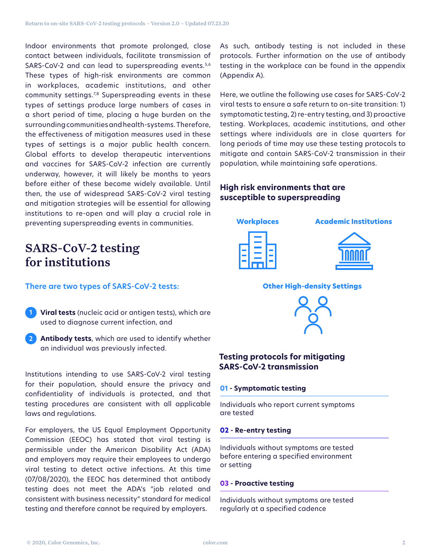Indoor environments that promote prolonged, close contact between individuals, facilitate transmission of SARS-CoV-2 and can lead to superspreading events.<sup>5,6</sup> These types of high-risk environments are common in workplaces, academic institutions, and other community settings.<sup>7,8</sup> Superspreading events in these types of settings produce large numbers of cases in a short period of time, placing a huge burden on the surrounding communities and health-systems. Therefore, the effectiveness of mitigation measures used in these types of settings is a major public health concern. Global efforts to develop therapeutic interventions and vaccines for SARS-CoV-2 infection are currently underway, however, it will likely be months to years before either of these become widely available. Until then, the use of widespread SARS-CoV-2 viral testing and mitigation strategies will be essential for allowing institutions to re-open and will play a crucial role in preventing superspreading events in communities.

As such, antibody testing is not included in these protocols. Further information on the use of antibody testing in the workplace can be found in the appendix (Appendix A).

Here, we outline the following use cases for SARS-CoV-2 viral tests to ensure a safe return to on-site transition: 1) symptomatic testing, 2) re-entry testing, and 3) proactive testing. Workplaces, academic institutions, and other settings where individuals are in close quarters for long periods of time may use these testing protocols to mitigate and contain SARS-CoV-2 transmission in their population, while maintaining safe operations.

#### **High risk environments that are susceptible to superspreading**



# SARS-CoV-2 testing for institutions

**There are two types of SARS-CoV-2 tests:** 

- **Viral tests** (nucleic acid or antigen tests), which are **1** used to diagnose current infection, and
- **Antibody tests**, which are used to identify whether **2** an individual was previously infected.

Institutions intending to use SARS-CoV-2 viral testing for their population, should ensure the privacy and confidentiality of individuals is protected, and that testing procedures are consistent with all applicable laws and regulations.

For employers, the US Equal Employment Opportunity Commission (EEOC) has stated that viral testing is permissible under the American Disability Act (ADA) and employers may require their employees to undergo viral testing to detect active infections. At this time (07/08/2020), the EEOC has determined that antibody testing does not meet the ADA's "job related and consistent with business necessity" standard for medical testing and therefore cannot be required by employers.

#### **Testing protocols for mitigating SARS-CoV-2 transmission**

#### **01 - Symptomatic testing**

Individuals who report current symptoms are tested

#### **02 - Re-entry testing**

Individuals without symptoms are tested before entering a specified environment or setting

#### **03 - Proactive testing**

Individuals without symptoms are tested regularly at a specified cadence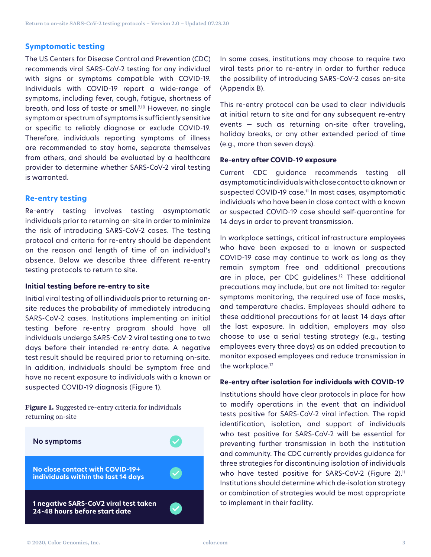#### **Symptomatic testing**

The US Centers for Disease Control and Prevention (CDC) recommends viral SARS-CoV-2 testing for any individual with signs or symptoms compatible with COVID-19. Individuals with COVID-19 report a wide-range of symptoms, including fever, cough, fatigue, shortness of breath, and loss of taste or smell.<sup>9,10</sup> However, no single symptom or spectrum of symptoms is sufficiently sensitive or specific to reliably diagnose or exclude COVID-19. Therefore, individuals reporting symptoms of illness are recommended to stay home, separate themselves from others, and should be evaluated by a healthcare provider to determine whether SARS-CoV-2 viral testing is warranted.

#### **Re-entry testing**

Re-entry testing involves testing asymptomatic individuals prior to returning on-site in order to minimize the risk of introducing SARS-CoV-2 cases. The testing protocol and criteria for re-entry should be dependent on the reason and length of time of an individual's absence. Below we describe three different re-entry testing protocols to return to site.

#### **Initial testing before re-entry to site**

Initial viral testing of all individuals prior to returning onsite reduces the probability of immediately introducing SARS-CoV-2 cases. Institutions implementing an initial testing before re-entry program should have all individuals undergo SARS-CoV-2 viral testing one to two days before their intended re-entry date. A negative test result should be required prior to returning on-site. In addition, individuals should be symptom free and have no recent exposure to individuals with a known or suspected COVID-19 diagnosis (Figure 1).

**Figure 1.** Suggested re-entry criteria for individuals returning on-site



In some cases, institutions may choose to require two viral tests prior to re-entry in order to further reduce the possibility of introducing SARS-CoV-2 cases on-site (Appendix B).

This re-entry protocol can be used to clear individuals at initial return to site and for any subsequent re-entry events — such as returning on-site after traveling, holiday breaks, or any other extended period of time (e.g., more than seven days).

#### **Re-entry after COVID-19 exposure**

Current CDC guidance recommends testing all asymptomatic individuals with close contact to a known or suspected COVID-19 case.<sup>11</sup> In most cases, asymptomatic individuals who have been in close contact with a known or suspected COVID-19 case should self-quarantine for 14 days in order to prevent transmission.

In workplace settings, critical infrastructure employees who have been exposed to a known or suspected COVID-19 case may continue to work as long as they remain symptom free and additional precautions are in place, per CDC guidelines.12 These additional precautions may include, but are not limited to: regular symptoms monitoring, the required use of face masks, and temperature checks. Employees should adhere to these additional precautions for at least 14 days after the last exposure. In addition, employers may also choose to use a serial testing strategy (e.g., testing employees every three days) as an added precaution to monitor exposed employees and reduce transmission in the workplace.<sup>12</sup>

#### **Re-entry after isolation for individuals with COVID-19**

Institutions should have clear protocols in place for how to modify operations in the event that an individual tests positive for SARS-CoV-2 viral infection. The rapid identification, isolation, and support of individuals who test positive for SARS-CoV-2 will be essential for preventing further transmission in both the institution and community. The CDC currently provides guidance for three strategies for discontinuing isolation of individuals who have tested positive for SARS-CoV-2 (Figure 2).<sup>11</sup> Institutions should determine which de-isolation strategy or combination of strategies would be most appropriate to implement in their facility.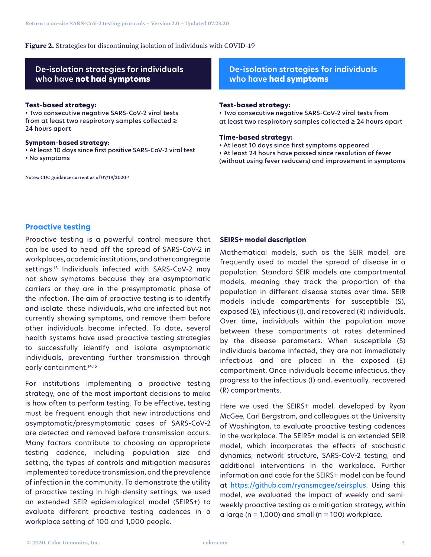#### **Figure 2.** Strategies for discontinuing isolation of individuals with COVID-19

#### **De-isolation strategies for individuals who have not had symptoms**

#### **Test-based strategy:**

• Two consecutive negative SARS-CoV-2 viral tests from at least two respiratory samples collected ≥ 24 hours apart

#### **Symptom-based strategy:**

• At least 10 days since first positive SARS-CoV-2 viral test

• No symptoms

Notes: CDC guidance current as of 07/19/202011

#### **De-isolation strategies for individuals who have had symptoms**

#### **Test-based strategy:**

• Two consecutive negative SARS-CoV-2 viral tests from at least two respiratory samples collected ≥ 24 hours apart

#### **Time-based strategy:**

• At least 10 days since first symptoms appeared • At least 24 hours have passed since resolution of fever (without using fever reducers) and improvement in symptoms

#### **Proactive testing**

Proactive testing is a powerful control measure that can be used to head off the spread of SARS-CoV-2 in workplaces, academic institutions, and other congregate settings.13 Individuals infected with SARS-CoV-2 may not show symptoms because they are asymptomatic carriers or they are in the presymptomatic phase of the infection. The aim of proactive testing is to identify and isolate these individuals, who are infected but not currently showing symptoms, and remove them before other individuals become infected. To date, several health systems have used proactive testing strategies to successfully identify and isolate asymptomatic individuals, preventing further transmission through early containment.<sup>14,15</sup>

For institutions implementing a proactive testing strategy, one of the most important decisions to make is how often to perform testing. To be effective, testing must be frequent enough that new introductions and asymptomatic/presymptomatic cases of SARS-CoV-2 are detected and removed before transmission occurs. Many factors contribute to choosing an appropriate testing cadence, including population size and setting, the types of controls and mitigation measures implemented to reduce transmission, and the prevalence of infection in the community. To demonstrate the utility of proactive testing in high-density settings, we used an extended SEIR epidemiological model (SEIRS+) to evaluate different proactive testing cadences in a workplace setting of 100 and 1,000 people.

#### **SEIRS+ model description**

Mathematical models, such as the SEIR model, are frequently used to model the spread of disease in a population. Standard SEIR models are compartmental models, meaning they track the proportion of the population in different disease states over time. SEIR models include compartments for susceptible (S), exposed (E), infectious (I), and recovered (R) individuals. Over time, individuals within the population move between these compartments at rates determined by the disease parameters. When susceptible (S) individuals become infected, they are not immediately infectious and are placed in the exposed (E) compartment. Once individuals become infectious, they progress to the infectious (I) and, eventually, recovered (R) compartments.

Here we used the SEIRS+ model, developed by Ryan McGee, Carl Bergstrom, and colleagues at the University of Washington, to evaluate proactive testing cadences in the workplace. The SEIRS+ model is an extended SEIR model, which incorporates the effects of stochastic dynamics, network structure, SARS-CoV-2 testing, and additional interventions in the workplace. Further information and code for the SEIRS+ model can be found at https://github.com/ryansmcgee/seirsplus. Using this model, we evaluated the impact of weekly and semiweekly proactive testing as a mitigation strategy, within a large ( $n = 1,000$ ) and small ( $n = 100$ ) workplace.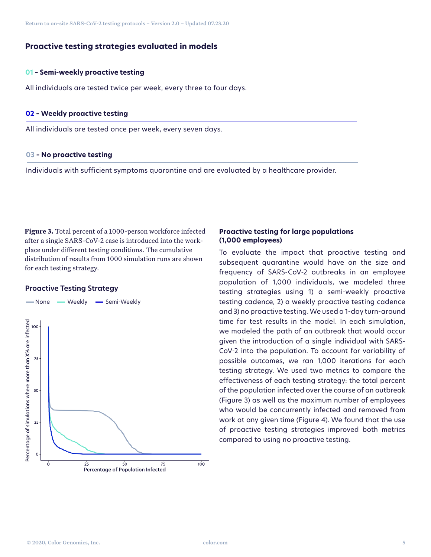#### **Proactive testing strategies evaluated in models**

#### **01 – Semi-weekly proactive testing**

All individuals are tested twice per week, every three to four days.

#### **02 – Weekly proactive testing**

All individuals are tested once per week, every seven days.

#### **03 – No proactive testing**

Individuals with sufficient symptoms quarantine and are evaluated by a healthcare provider.

**Figure 3.** Total percent of a 1000-person workforce infected after a single SARS-CoV-2 case is introduced into the workplace under different testing conditions. The cumulative distribution of results from 1000 simulation runs are shown for each testing strategy.

#### **Proactive Testing Strategy**



#### **Proactive testing for large populations (1,000 employees)**

To evaluate the impact that proactive testing and subsequent quarantine would have on the size and frequency of SARS-CoV-2 outbreaks in an employee population of 1,000 individuals, we modeled three testing strategies using 1) a semi-weekly proactive testing cadence, 2) a weekly proactive testing cadence and 3) no proactive testing. We used a 1-day turn-around time for test results in the model. In each simulation, we modeled the path of an outbreak that would occur given the introduction of a single individual with SARS-CoV-2 into the population. To account for variability of possible outcomes, we ran 1,000 iterations for each testing strategy. We used two metrics to compare the effectiveness of each testing strategy: the total percent of the population infected over the course of an outbreak (Figure 3) as well as the maximum number of employees who would be concurrently infected and removed from work at any given time (Figure 4). We found that the use of proactive testing strategies improved both metrics compared to using no proactive testing.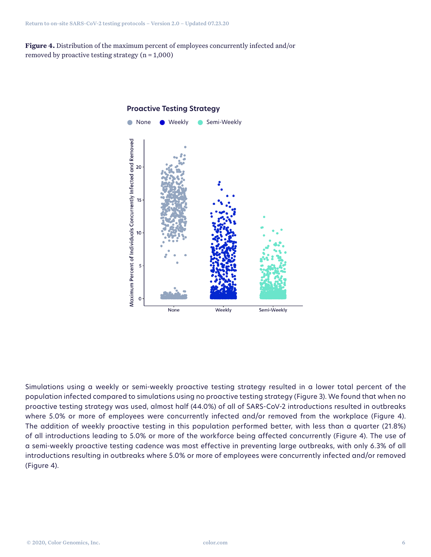**Figure 4.** Distribution of the maximum percent of employees concurrently infected and/or removed by proactive testing strategy  $(n = 1,000)$ 



### **Proactive Testing Strategy**

Simulations using a weekly or semi-weekly proactive testing strategy resulted in a lower total percent of the population infected compared to simulations using no proactive testing strategy (Figure 3). We found that when no proactive testing strategy was used, almost half (44.0%) of all of SARS-CoV-2 introductions resulted in outbreaks where 5.0% or more of employees were concurrently infected and/or removed from the workplace (Figure 4). The addition of weekly proactive testing in this population performed better, with less than a quarter (21.8%) of all introductions leading to 5.0% or more of the workforce being affected concurrently (Figure 4). The use of a semi-weekly proactive testing cadence was most effective in preventing large outbreaks, with only 6.3% of all introductions resulting in outbreaks where 5.0% or more of employees were concurrently infected and/or removed (Figure 4).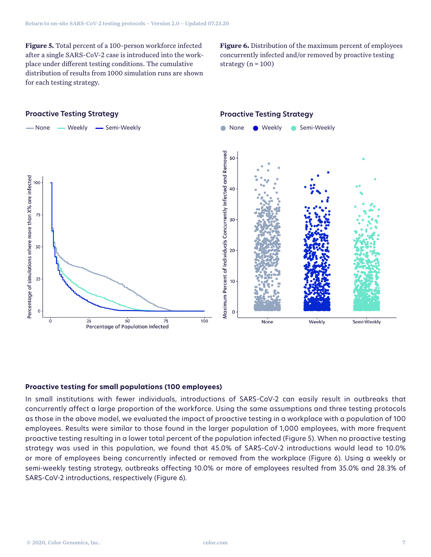**Figure 5.** Total percent of a 100-person workforce infected after a single SARS-CoV-2 case is introduced into the workplace under different testing conditions. The cumulative distribution of results from 1000 simulation runs are shown for each testing strategy.

**Figure 6.** Distribution of the maximum percent of employees concurrently infected and/or removed by proactive testing strategy  $(n = 100)$ 

#### **Proactive Testing Strategy Proactive Testing Strategy** -None - Weekly - Semi-Weekly **None Weekly Semi-Weekly** Maximum Percent of Individuals Concurrently Infected and Removed 50 Percentage of simulations where more than X% are infected 100 40 75 30 50 20 25 10  $\circ$  $\overline{0}$  $2<sub>5</sub>$  $50$  $\overline{75}$  $100$ Weekly Semi-Weekly None Percentage of Population Infected

#### **Proactive testing for small populations (100 employees)**

In small institutions with fewer individuals, introductions of SARS-CoV-2 can easily result in outbreaks that concurrently affect a large proportion of the workforce. Using the same assumptions and three testing protocols as those in the above model, we evaluated the impact of proactive testing in a workplace with a population of 100 employees. Results were similar to those found in the larger population of 1,000 employees, with more frequent proactive testing resulting in a lower total percent of the population infected (Figure 5). When no proactive testing strategy was used in this population, we found that 45.0% of SARS-CoV-2 introductions would lead to 10.0% or more of employees being concurrently infected or removed from the workplace (Figure 6). Using a weekly or semi-weekly testing strategy, outbreaks affecting 10.0% or more of employees resulted from 35.0% and 28.3% of SARS-CoV-2 introductions, respectively (Figure 6).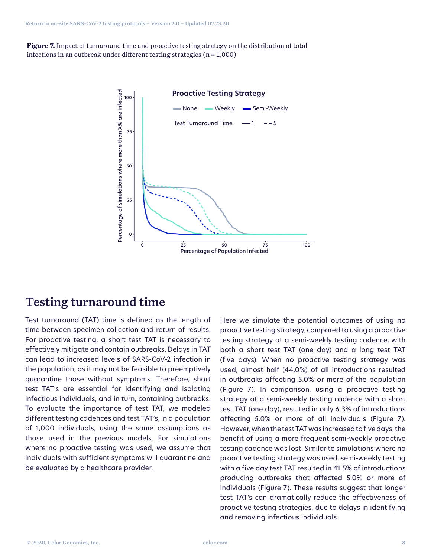**Figure 7.** Impact of turnaround time and proactive testing strategy on the distribution of total infections in an outbreak under different testing strategies ( $n = 1,000$ )



### Testing turnaround time

Test turnaround (TAT) time is defined as the length of time between specimen collection and return of results. For proactive testing, a short test TAT is necessary to effectively mitigate and contain outbreaks. Delays in TAT can lead to increased levels of SARS-CoV-2 infection in the population, as it may not be feasible to preemptively quarantine those without symptoms. Therefore, short test TAT's are essential for identifying and isolating infectious individuals, and in turn, containing outbreaks. To evaluate the importance of test TAT, we modeled different testing cadences and test TAT's, in a population of 1,000 individuals, using the same assumptions as those used in the previous models. For simulations where no proactive testing was used, we assume that individuals with sufficient symptoms will quarantine and be evaluated by a healthcare provider.

Here we simulate the potential outcomes of using no proactive testing strategy, compared to using a proactive testing strategy at a semi-weekly testing cadence, with both a short test TAT (one day) and a long test TAT (five days). When no proactive testing strategy was used, almost half (44.0%) of all introductions resulted in outbreaks affecting 5.0% or more of the population (Figure 7). In comparison, using a proactive testing strategy at a semi-weekly testing cadence with a short test TAT (one day), resulted in only 6.3% of introductions affecting 5.0% or more of all individuals (Figure 7). However, when the test TAT was increased to five days, the benefit of using a more frequent semi-weekly proactive testing cadence was lost. Similar to simulations where no proactive testing strategy was used, semi-weekly testing with a five day test TAT resulted in 41.5% of introductions producing outbreaks that affected 5.0% or more of individuals (Figure 7). These results suggest that longer test TAT's can dramatically reduce the effectiveness of proactive testing strategies, due to delays in identifying and removing infectious individuals.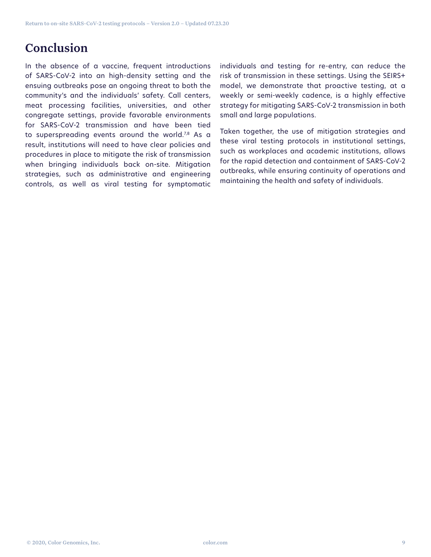# Conclusion

In the absence of a vaccine, frequent introductions of SARS-CoV-2 into an high-density setting and the ensuing outbreaks pose an ongoing threat to both the community's and the individuals' safety. Call centers, meat processing facilities, universities, and other congregate settings, provide favorable environments for SARS-CoV-2 transmission and have been tied to superspreading events around the world. $7,8$  As a result, institutions will need to have clear policies and procedures in place to mitigate the risk of transmission when bringing individuals back on-site. Mitigation strategies, such as administrative and engineering controls, as well as viral testing for symptomatic

individuals and testing for re-entry, can reduce the risk of transmission in these settings. Using the SEIRS+ model, we demonstrate that proactive testing, at a weekly or semi-weekly cadence, is a highly effective strategy for mitigating SARS-CoV-2 transmission in both small and large populations.

Taken together, the use of mitigation strategies and these viral testing protocols in institutional settings, such as workplaces and academic institutions, allows for the rapid detection and containment of SARS-CoV-2 outbreaks, while ensuring continuity of operations and maintaining the health and safety of individuals.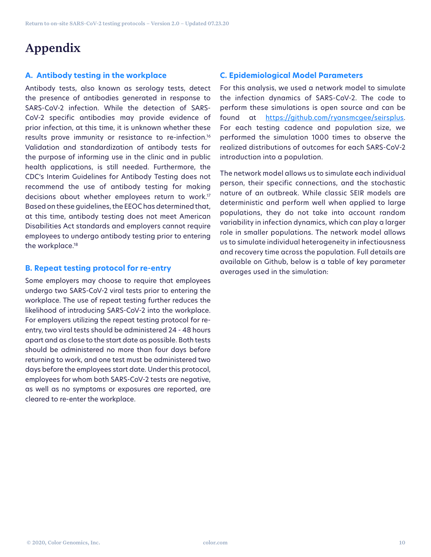# Appendix

#### **A. Antibody testing in the workplace**

Antibody tests, also known as serology tests, detect the presence of antibodies generated in response to SARS-CoV-2 infection. While the detection of SARS-CoV-2 specific antibodies may provide evidence of prior infection, at this time, it is unknown whether these results prove immunity or resistance to re-infection.16 Validation and standardization of antibody tests for the purpose of informing use in the clinic and in public health applications, is still needed. Furthermore, the CDC's Interim Guidelines for Antibody Testing does not recommend the use of antibody testing for making decisions about whether employees return to work.17 Based on these guidelines, the EEOC has determined that, at this time, antibody testing does not meet American Disabilities Act standards and employers cannot require employees to undergo antibody testing prior to entering the workplace.<sup>18</sup>

#### **B. Repeat testing protocol for re-entry**

Some employers may choose to require that employees undergo two SARS-CoV-2 viral tests prior to entering the workplace. The use of repeat testing further reduces the likelihood of introducing SARS-CoV-2 into the workplace. For employers utilizing the repeat testing protocol for reentry, two viral tests should be administered 24 - 48 hours apart and as close to the start date as possible. Both tests should be administered no more than four days before returning to work, and one test must be administered two days before the employees start date. Under this protocol, employees for whom both SARS-CoV-2 tests are negative, as well as no symptoms or exposures are reported, are cleared to re-enter the workplace.

#### **C. Epidemiological Model Parameters**

For this analysis, we used a network model to simulate the infection dynamics of SARS-CoV-2. The code to perform these simulations is open source and can be found at https://github.com/ryansmcgee/seirsplus. For each testing cadence and population size, we performed the simulation 1000 times to observe the realized distributions of outcomes for each SARS-CoV-2 introduction into a population.

The network model allows us to simulate each individual person, their specific connections, and the stochastic nature of an outbreak. While classic SEIR models are deterministic and perform well when applied to large populations, they do not take into account random variability in infection dynamics, which can play a larger role in smaller populations. The network model allows us to simulate individual heterogeneity in infectiousness and recovery time across the population. Full details are available on Github, below is a table of key parameter averages used in the simulation: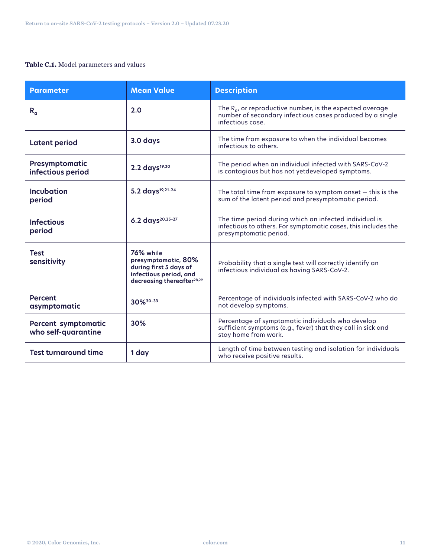#### **Table C.1.** Model parameters and values

| <b>Parameter</b>                                  | <b>Mean Value</b>                                                                                                              | <b>Description</b>                                                                                                                                 |
|---------------------------------------------------|--------------------------------------------------------------------------------------------------------------------------------|----------------------------------------------------------------------------------------------------------------------------------------------------|
| $R_{o}$                                           | 2.0                                                                                                                            | The $R_{0}$ , or reproductive number, is the expected average<br>number of secondary infectious cases produced by a single<br>infectious case.     |
| <b>Latent period</b>                              | 3.0 days                                                                                                                       | The time from exposure to when the individual becomes<br>infectious to others.                                                                     |
| Presymptomatic<br>infectious period               | 2.2 days <sup>19,20</sup>                                                                                                      | The period when an individual infected with SARS-CoV-2<br>is contagious but has not yetdeveloped symptoms.                                         |
| <b>Incubation</b><br>period                       | 5.2 days <sup>19,21-24</sup>                                                                                                   | The total time from exposure to symptom onset $-$ this is the<br>sum of the latent period and presymptomatic period.                               |
| <b>Infectious</b><br>period                       | 6.2 days <sup>20,25-27</sup>                                                                                                   | The time period during which an infected individual is<br>infectious to others. For symptomatic cases, this includes the<br>presymptomatic period. |
| <b>Test</b><br>sensitivity                        | 76% while<br>presymptomatic, 80%<br>during first 5 days of<br>infectious period, and<br>decreasing thereafter <sup>28,29</sup> | Probability that a single test will correctly identify an<br>infectious individual as having SARS-CoV-2.                                           |
| <b>Percent</b><br>asymptomatic                    | 30% 30-33                                                                                                                      | Percentage of individuals infected with SARS-CoV-2 who do<br>not develop symptoms.                                                                 |
| <b>Percent symptomatic</b><br>who self-quarantine | 30%                                                                                                                            | Percentage of symptomatic individuals who develop<br>sufficient symptoms (e.g., fever) that they call in sick and<br>stay home from work.          |
| <b>Test turnaround time</b>                       | 1 day                                                                                                                          | Length of time between testing and isolation for individuals<br>who receive positive results.                                                      |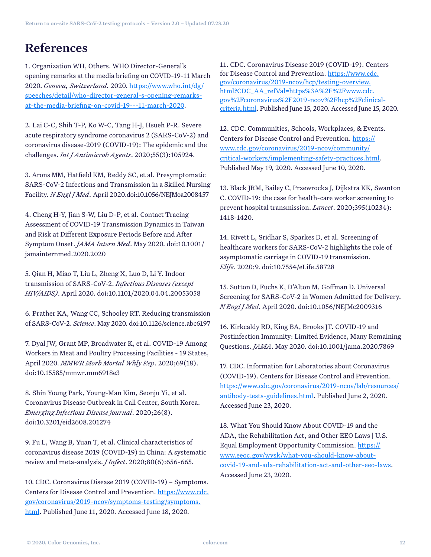# References

1. Organization WH, Others. WHO Director-General's opening remarks at the media briefing on COVID-19-11 March 2020. *Geneva, Switzerland.* 2020. [https://www.who.int/dg/](https://www.who.int/dg/speeches/detail/who-director-general-s-opening-remarks-at-the-media-briefing-on-covid-19---11-march-2020) [speeches/detail/who-director-general-s-opening-remarks](https://www.who.int/dg/speeches/detail/who-director-general-s-opening-remarks-at-the-media-briefing-on-covid-19---11-march-2020)[at-the-media-briefing-on-covid-19---11-march-2020.](https://www.who.int/dg/speeches/detail/who-director-general-s-opening-remarks-at-the-media-briefing-on-covid-19---11-march-2020)

2. Lai C-C, Shih T-P, Ko W-C, Tang H-J, Hsueh P-R. Severe acute respiratory syndrome coronavirus 2 (SARS-CoV-2) and coronavirus disease-2019 (COVID-19): The epidemic and the challenges. *Int J Antimicrob Agents*. 2020;55(3):105924.

3. Arons MM, Hatfield KM, Reddy SC, et al. Presymptomatic SARS-CoV-2 Infections and Transmission in a Skilled Nursing Facility. *N Engl J Med*. April 2020.doi:10.1056/NEJMoa2008457

4. Cheng H-Y, Jian S-W, Liu D-P, et al. Contact Tracing Assessment of COVID-19 Transmission Dynamics in Taiwan and Risk at Different Exposure Periods Before and After Symptom Onset. *JAMA Intern Med*. May 2020. doi:10.1001/ jamainternmed.2020.2020

5. Qian H, Miao T, Liu L, Zheng X, Luo D, Li Y. Indoor transmission of SARS-CoV-2. *Infectious Diseases (except HIV/AIDS)*. April 2020. doi:10.1101/2020.04.04.20053058

6. Prather KA, Wang CC, Schooley RT. Reducing transmission of SARS-CoV-2. *Science*. May 2020. doi:10.1126/science.abc6197

7. Dyal JW, Grant MP, Broadwater K, et al. COVID-19 Among Workers in Meat and Poultry Processing Facilities - 19 States, April 2020. *MMWR Morb Mortal Wkly Rep*. 2020;69(18). doi:10.15585/mmwr.mm6918e3

8. Shin Young Park, Young-Man Kim, Seonju Yi, et al. Coronavirus Disease Outbreak in Call Center, South Korea. *Emerging Infectious Disease journal*. 2020;26(8). doi:10.3201/eid2608.201274

9. Fu L, Wang B, Yuan T, et al. Clinical characteristics of coronavirus disease 2019 (COVID-19) in China: A systematic review and meta-analysis. *J Infect*. 2020;80(6):656-665.

10. CDC. Coronavirus Disease 2019 (COVID-19) – Symptoms. Centers for Disease Control and Prevention. [https://www.cdc.](https://www.cdc.gov/coronavirus/2019-ncov/symptoms-testing/symptoms.html) [gov/coronavirus/2019-ncov/symptoms-testing/symptoms.](https://www.cdc.gov/coronavirus/2019-ncov/symptoms-testing/symptoms.html) [html.](https://www.cdc.gov/coronavirus/2019-ncov/symptoms-testing/symptoms.html) Published June 11, 2020. Accessed June 18, 2020.

11. CDC. Coronavirus Disease 2019 (COVID-19). Centers for Disease Control and Prevention. [https://www.cdc.](https://www.cdc.gov/coronavirus/2019-ncov/hcp/testing-overview.html?CDC_AA_refVal=https%3A%2F%2Fwww.cdc.gov%2Fcoronavirus%2F2019-ncov%2Fhcp%2Fclinical- criteria.html) [gov/coronavirus/2019-ncov/hcp/testing-overview.](https://www.cdc.gov/coronavirus/2019-ncov/hcp/testing-overview.html?CDC_AA_refVal=https%3A%2F%2Fwww.cdc.gov%2Fcoronavirus%2F2019-ncov%2Fhcp%2Fclinical- criteria.html) [html?CDC\\_AA\\_refVal=https%3A%2F%2Fwww.cdc.](https://www.cdc.gov/coronavirus/2019-ncov/hcp/testing-overview.html?CDC_AA_refVal=https%3A%2F%2Fwww.cdc.gov%2Fcoronavirus%2F2019-ncov%2Fhcp%2Fclinical- criteria.html) [gov%2Fcoronavirus%2F2019-ncov%2Fhcp%2Fclinical](https://www.cdc.gov/coronavirus/2019-ncov/hcp/testing-overview.html?CDC_AA_refVal=https%3A%2F%2Fwww.cdc.gov%2Fcoronavirus%2F2019-ncov%2Fhcp%2Fclinical- criteria.html)[criteria.html.](https://www.cdc.gov/coronavirus/2019-ncov/hcp/testing-overview.html?CDC_AA_refVal=https%3A%2F%2Fwww.cdc.gov%2Fcoronavirus%2F2019-ncov%2Fhcp%2Fclinical- criteria.html) Published June 15, 2020. Accessed June 15, 2020.

12. CDC. Communities, Schools, Workplaces, & Events. Centers for Disease Control and Prevention. [https://](https://www.cdc.gov/coronavirus/2019-ncov/community/critical-workers/implementing-safety-practices.html) [www.cdc.gov/coronavirus/2019-ncov/community/](https://www.cdc.gov/coronavirus/2019-ncov/community/critical-workers/implementing-safety-practices.html) [critical-workers/implementing-safety-practices.html](https://www.cdc.gov/coronavirus/2019-ncov/community/critical-workers/implementing-safety-practices.html). Published May 19, 2020. Accessed June 10, 2020.

13. Black JRM, Bailey C, Przewrocka J, Dijkstra KK, Swanton C. COVID-19: the case for health-care worker screening to prevent hospital transmission. *Lancet*. 2020;395(10234): 1418-1420.

14. Rivett L, Sridhar S, Sparkes D, et al. Screening of healthcare workers for SARS-CoV-2 highlights the role of asymptomatic carriage in COVID-19 transmission. *Elife*. 2020;9. doi:10.7554/eLife.58728

15. Sutton D, Fuchs K, D'Alton M, Goffman D. Universal Screening for SARS-CoV-2 in Women Admitted for Delivery. *N Engl J Med*. April 2020. doi:10.1056/NEJMc2009316

16. Kirkcaldy RD, King BA, Brooks JT. COVID-19 and Postinfection Immunity: Limited Evidence, Many Remaining Questions. *JAMA*. May 2020. doi:10.1001/jama.2020.7869

17. CDC. Information for Laboratories about Coronavirus (COVID-19). Centers for Disease Control and Prevention. [https://www.cdc.gov/coronavirus/2019-ncov/lab/resources/](https://www.cdc.gov/coronavirus/2019-ncov/lab/resources/ antibody-tests-guidelines.html) [antibody-tests-guidelines.html](https://www.cdc.gov/coronavirus/2019-ncov/lab/resources/ antibody-tests-guidelines.html). Published June 2, 2020. Accessed June 23, 2020.

18. What You Should Know About COVID-19 and the ADA, the Rehabilitation Act, and Other EEO Laws | U.S. Equal Employment Opportunity Commission. [https://](https://www.eeoc.gov/wysk/what-you-should-know-about-covid-19-and-ada-rehabilitation-act-and-other-eeo-laws) [www.eeoc.gov/wysk/what-you-should-know-about](https://www.eeoc.gov/wysk/what-you-should-know-about-covid-19-and-ada-rehabilitation-act-and-other-eeo-laws)[covid-19-and-ada-rehabilitation-act-and-other-eeo-laws](https://www.eeoc.gov/wysk/what-you-should-know-about-covid-19-and-ada-rehabilitation-act-and-other-eeo-laws). Accessed June 23, 2020.